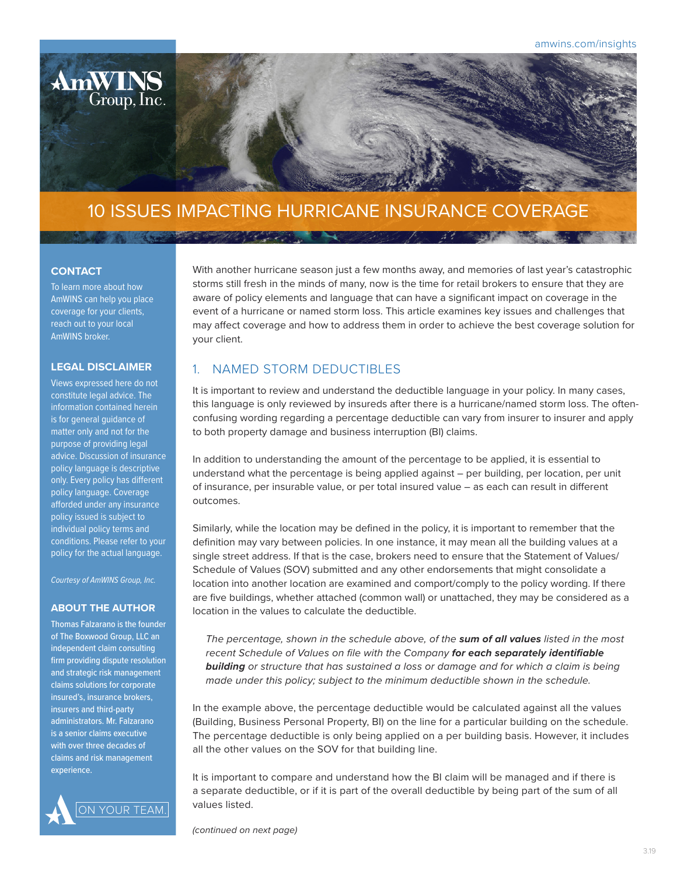

# 10 ISSUES IMPACTING HURRICANE INSURANCE COVERAGE

#### **CONTACT**

To learn more about how AmWINS can help you place coverage for your clients, reach out to your local AmWINS broker.

### **LEGAL DISCLAIMER**

Views expressed here do not constitute legal advice. The information contained herein is for general guidance of matter only and not for the purpose of providing legal advice. Discussion of insurance policy language is descriptive only. Every policy has different policy language. Coverage afforded under any insurance policy issued is subject to individual policy terms and conditions. Please refer to your policy for the actual language.

*Courtesy of AmWINS Group, Inc.*

#### **ABOUT THE AUTHOR**

Thomas Falzarano is the founder of The Boxwood Group, LLC an independent claim consulting firm providing dispute resolution and strategic risk management claims solutions for corporate insured's, insurance brokers, insurers and third-party administrators. Mr. Falzarano is a senior claims executive with over three decades of claims and risk management experience.



With another hurricane season just a few months away, and memories of last year's catastrophic storms still fresh in the minds of many, now is the time for retail brokers to ensure that they are aware of policy elements and language that can have a significant impact on coverage in the event of a hurricane or named storm loss. This article examines key issues and challenges that may affect coverage and how to address them in order to achieve the best coverage solution for your client.

### 1. NAMED STORM DEDUCTIBLES

It is important to review and understand the deductible language in your policy. In many cases, this language is only reviewed by insureds after there is a hurricane/named storm loss. The oftenconfusing wording regarding a percentage deductible can vary from insurer to insurer and apply to both property damage and business interruption (BI) claims.

In addition to understanding the amount of the percentage to be applied, it is essential to understand what the percentage is being applied against – per building, per location, per unit of insurance, per insurable value, or per total insured value – as each can result in different outcomes.

Similarly, while the location may be defined in the policy, it is important to remember that the definition may vary between policies. In one instance, it may mean all the building values at a single street address. If that is the case, brokers need to ensure that the Statement of Values/ Schedule of Values (SOV) submitted and any other endorsements that might consolidate a location into another location are examined and comport/comply to the policy wording. If there are five buildings, whether attached (common wall) or unattached, they may be considered as a location in the values to calculate the deductible.

*The percentage, shown in the schedule above, of the sum of all values listed in the most recent Schedule of Values on file with the Company for each separately identifiable building or structure that has sustained a loss or damage and for which a claim is being made under this policy; subject to the minimum deductible shown in the schedule.*

In the example above, the percentage deductible would be calculated against all the values (Building, Business Personal Property, BI) on the line for a particular building on the schedule. The percentage deductible is only being applied on a per building basis. However, it includes all the other values on the SOV for that building line.

It is important to compare and understand how the BI claim will be managed and if there is a separate deductible, or if it is part of the overall deductible by being part of the sum of all values listed.

*(continued on next page)*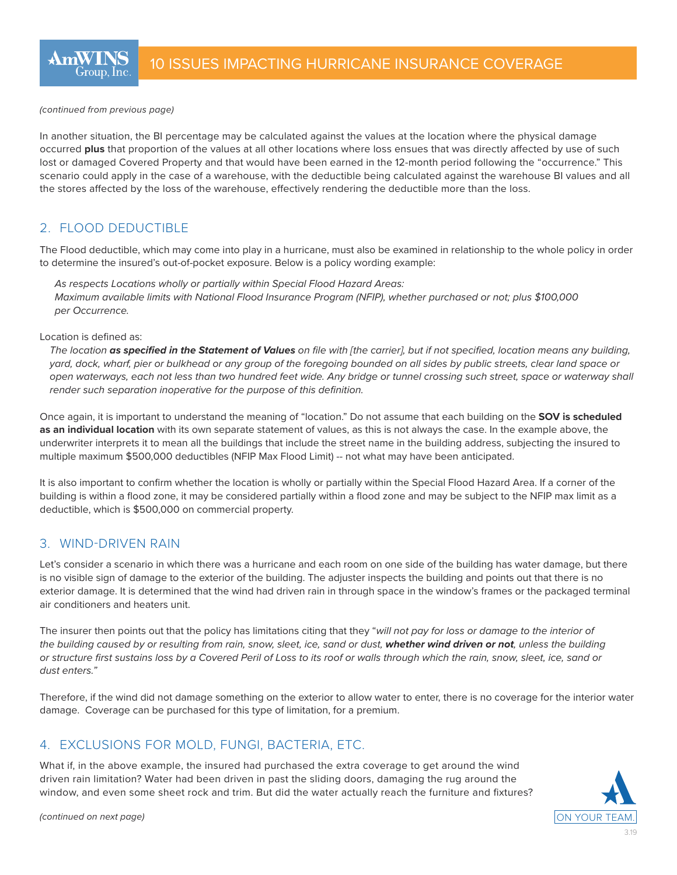In another situation, the BI percentage may be calculated against the values at the location where the physical damage occurred **plus** that proportion of the values at all other locations where loss ensues that was directly affected by use of such lost or damaged Covered Property and that would have been earned in the 12-month period following the "occurrence." This scenario could apply in the case of a warehouse, with the deductible being calculated against the warehouse BI values and all the stores affected by the loss of the warehouse, effectively rendering the deductible more than the loss.

# 2. FLOOD DEDUCTIBLE

The Flood deductible, which may come into play in a hurricane, must also be examined in relationship to the whole policy in order to determine the insured's out-of-pocket exposure. Below is a policy wording example:

*As respects Locations wholly or partially within Special Flood Hazard Areas: Maximum available limits with National Flood Insurance Program (NFIP), whether purchased or not; plus \$100,000 per Occurrence.*

#### Location is defined as:

*The location as specified in the Statement of Values on file with [the carrier], but if not specified, location means any building, yard, dock, wharf, pier or bulkhead or any group of the foregoing bounded on all sides by public streets, clear land space or open waterways, each not less than two hundred feet wide. Any bridge or tunnel crossing such street, space or waterway shall render such separation inoperative for the purpose of this definition.*

Once again, it is important to understand the meaning of "location." Do not assume that each building on the **SOV is scheduled as an individual location** with its own separate statement of values, as this is not always the case. In the example above, the underwriter interprets it to mean all the buildings that include the street name in the building address, subjecting the insured to multiple maximum \$500,000 deductibles (NFIP Max Flood Limit) -- not what may have been anticipated.

It is also important to confirm whether the location is wholly or partially within the Special Flood Hazard Area. If a corner of the building is within a flood zone, it may be considered partially within a flood zone and may be subject to the NFIP max limit as a deductible, which is \$500,000 on commercial property.

# 3. WIND-DRIVEN RAIN

Let's consider a scenario in which there was a hurricane and each room on one side of the building has water damage, but there is no visible sign of damage to the exterior of the building. The adjuster inspects the building and points out that there is no exterior damage. It is determined that the wind had driven rain in through space in the window's frames or the packaged terminal air conditioners and heaters unit.

The insurer then points out that the policy has limitations citing that they "*will not pay for loss or damage to the interior of the building caused by or resulting from rain, snow, sleet, ice, sand or dust, whether wind driven or not, unless the building or structure first sustains loss by a Covered Peril of Loss to its roof or walls through which the rain, snow, sleet, ice, sand or dust enters."*

Therefore, if the wind did not damage something on the exterior to allow water to enter, there is no coverage for the interior water damage. Coverage can be purchased for this type of limitation, for a premium.

# 4. EXCLUSIONS FOR MOLD, FUNGI, BACTERIA, ETC.

What if, in the above example, the insured had purchased the extra coverage to get around the wind driven rain limitation? Water had been driven in past the sliding doors, damaging the rug around the window, and even some sheet rock and trim. But did the water actually reach the furniture and fixtures?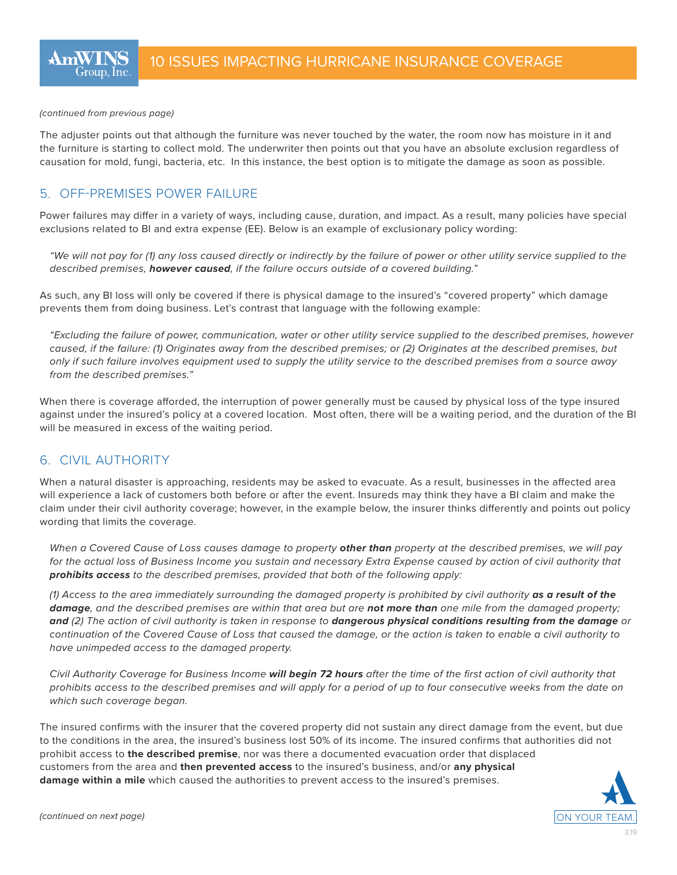The adjuster points out that although the furniture was never touched by the water, the room now has moisture in it and the furniture is starting to collect mold. The underwriter then points out that you have an absolute exclusion regardless of causation for mold, fungi, bacteria, etc. In this instance, the best option is to mitigate the damage as soon as possible.

## 5. OFF-PREMISES POWER FAILURE

Power failures may differ in a variety of ways, including cause, duration, and impact. As a result, many policies have special exclusions related to BI and extra expense (EE). Below is an example of exclusionary policy wording:

*"We will not pay for (1) any loss caused directly or indirectly by the failure of power or other utility service supplied to the described premises, however caused, if the failure occurs outside of a covered building."* 

As such, any BI loss will only be covered if there is physical damage to the insured's "covered property" which damage prevents them from doing business. Let's contrast that language with the following example:

*"Excluding the failure of power, communication, water or other utility service supplied to the described premises, however caused, if the failure: (1) Originates away from the described premises; or (2) Originates at the described premises, but only if such failure involves equipment used to supply the utility service to the described premises from a source away from the described premises."*

When there is coverage afforded, the interruption of power generally must be caused by physical loss of the type insured against under the insured's policy at a covered location. Most often, there will be a waiting period, and the duration of the BI will be measured in excess of the waiting period.

### 6. CIVIL AUTHORITY

When a natural disaster is approaching, residents may be asked to evacuate. As a result, businesses in the affected area will experience a lack of customers both before or after the event. Insureds may think they have a BI claim and make the claim under their civil authority coverage; however, in the example below, the insurer thinks differently and points out policy wording that limits the coverage.

*When a Covered Cause of Loss causes damage to property other than property at the described premises, we will pay*  for the actual loss of Business Income you sustain and necessary Extra Expense caused by action of civil authority that *prohibits access to the described premises, provided that both of the following apply:*

*(1) Access to the area immediately surrounding the damaged property is prohibited by civil authority as a result of the damage, and the described premises are within that area but are not more than one mile from the damaged property; and (2) The action of civil authority is taken in response to dangerous physical conditions resulting from the damage or continuation of the Covered Cause of Loss that caused the damage, or the action is taken to enable a civil authority to have unimpeded access to the damaged property.* 

*Civil Authority Coverage for Business Income will begin 72 hours after the time of the first action of civil authority that prohibits access to the described premises and will apply for a period of up to four consecutive weeks from the date on which such coverage began.*

The insured confirms with the insurer that the covered property did not sustain any direct damage from the event, but due to the conditions in the area, the insured's business lost 50% of its income. The insured confirms that authorities did not prohibit access to **the described premise**, nor was there a documented evacuation order that displaced customers from the area and **then prevented access** to the insured's business, and/or **any physical damage within a mile** which caused the authorities to prevent access to the insured's premises.

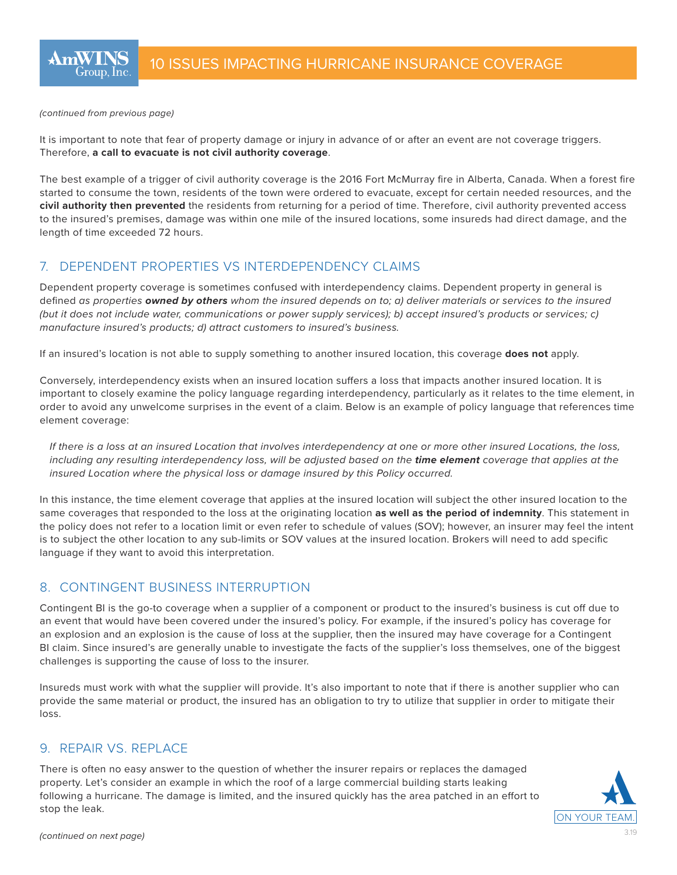It is important to note that fear of property damage or injury in advance of or after an event are not coverage triggers. Therefore, **a call to evacuate is not civil authority coverage**.

The best example of a trigger of civil authority coverage is the 2016 Fort McMurray fire in Alberta, Canada. When a forest fire started to consume the town, residents of the town were ordered to evacuate, except for certain needed resources, and the **civil authority then prevented** the residents from returning for a period of time. Therefore, civil authority prevented access to the insured's premises, damage was within one mile of the insured locations, some insureds had direct damage, and the length of time exceeded 72 hours.

# 7. DEPENDENT PROPERTIES VS INTERDEPENDENCY CLAIMS

Dependent property coverage is sometimes confused with interdependency claims. Dependent property in general is defined *as properties owned by others whom the insured depends on to; a) deliver materials or services to the insured (but it does not include water, communications or power supply services); b) accept insured's products or services; c) manufacture insured's products; d) attract customers to insured's business.* 

If an insured's location is not able to supply something to another insured location, this coverage **does not** apply.

Conversely, interdependency exists when an insured location suffers a loss that impacts another insured location. It is important to closely examine the policy language regarding interdependency, particularly as it relates to the time element, in order to avoid any unwelcome surprises in the event of a claim. Below is an example of policy language that references time element coverage:

*If there is a loss at an insured Location that involves interdependency at one or more other insured Locations, the loss, including any resulting interdependency loss, will be adjusted based on the time element coverage that applies at the insured Location where the physical loss or damage insured by this Policy occurred.* 

In this instance, the time element coverage that applies at the insured location will subject the other insured location to the same coverages that responded to the loss at the originating location **as well as the period of indemnity**. This statement in the policy does not refer to a location limit or even refer to schedule of values (SOV); however, an insurer may feel the intent is to subject the other location to any sub-limits or SOV values at the insured location. Brokers will need to add specific language if they want to avoid this interpretation.

# 8. CONTINGENT BUSINESS INTERRUPTION

Contingent BI is the go-to coverage when a supplier of a component or product to the insured's business is cut off due to an event that would have been covered under the insured's policy. For example, if the insured's policy has coverage for an explosion and an explosion is the cause of loss at the supplier, then the insured may have coverage for a Contingent BI claim. Since insured's are generally unable to investigate the facts of the supplier's loss themselves, one of the biggest challenges is supporting the cause of loss to the insurer.

Insureds must work with what the supplier will provide. It's also important to note that if there is another supplier who can provide the same material or product, the insured has an obligation to try to utilize that supplier in order to mitigate their loss.

## 9. REPAIR VS. REPLACE

There is often no easy answer to the question of whether the insurer repairs or replaces the damaged property. Let's consider an example in which the roof of a large commercial building starts leaking following a hurricane. The damage is limited, and the insured quickly has the area patched in an effort to stop the leak.